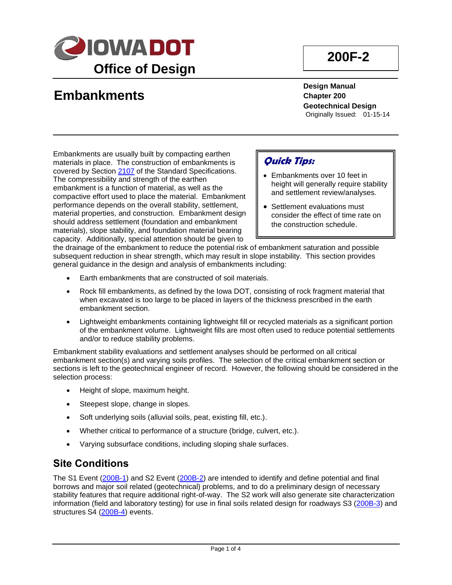

# **Embankments**

**200F-2**

**Design Manual Chapter 200 Geotechnical Design** Originally Issued: 01-15-14

Embankments are usually built by compacting earthen materials in place. The construction of embankments is covered by Section [2107](../../erl/current/GS/content/2107.htm) of the Standard Specifications. The compressibility and strength of the earthen embankment is a function of material, as well as the compactive effort used to place the material. Embankment performance depends on the overall stability, settlement, material properties, and construction. Embankment design should address settlement (foundation and embankment materials), slope stability, and foundation material bearing capacity. Additionally, special attention should be given to

## **Quick Tips:**

- Embankments over 10 feet in height will generally require stability and settlement review/analyses.
- Settlement evaluations must consider the effect of time rate on the construction schedule.

the drainage of the embankment to reduce the potential risk of embankment saturation and possible subsequent reduction in shear strength, which may result in slope instability. This section provides general guidance in the design and analysis of embankments including:

- Earth embankments that are constructed of soil materials.
- Rock fill embankments, as defined by the Iowa DOT, consisting of rock fragment material that when excavated is too large to be placed in layers of the thickness prescribed in the earth embankment section.
- Lightweight embankments containing lightweight fill or recycled materials as a significant portion of the embankment volume. Lightweight fills are most often used to reduce potential settlements and/or to reduce stability problems.

Embankment stability evaluations and settlement analyses should be performed on all critical embankment section(s) and varying soils profiles. The selection of the critical embankment section or sections is left to the geotechnical engineer of record. However, the following should be considered in the selection process:

- Height of slope, maximum height.
- Steepest slope, change in slopes.
- Soft underlying soils (alluvial soils, peat, existing fill, etc.).
- Whether critical to performance of a structure (bridge, culvert, etc.).
- Varying subsurface conditions, including sloping shale surfaces.

### **Site Conditions**

The S1 Event [\(200B-1\)](200B-01.pdf) and S2 Event [\(200B-2\)](200B-02.pdf) are intended to identify and define potential and final borrows and major soil related (geotechnical) problems, and to do a preliminary design of necessary stability features that require additional right-of-way. The S2 work will also generate site characterization information (field and laboratory testing) for use in final soils related design for roadways S3 [\(200B-3\)](200B-03.pdf) and structures S4 [\(200B-4\)](200B-04.pdf) events.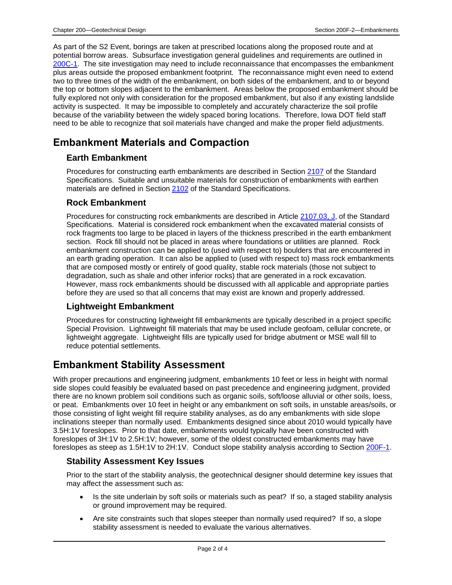As part of the S2 Event, borings are taken at prescribed locations along the proposed route and at potential borrow areas. Subsurface investigation general guidelines and requirements are outlined in [200C-1.](200C-01.pdf) The site investigation may need to include reconnaissance that encompasses the embankment plus areas outside the proposed embankment footprint. The reconnaissance might even need to extend two to three times of the width of the embankment, on both sides of the embankment, and to or beyond the top or bottom slopes adjacent to the embankment. Areas below the proposed embankment should be fully explored not only with consideration for the proposed embankment, but also if any existing landslide activity is suspected. It may be impossible to completely and accurately characterize the soil profile because of the variability between the widely spaced boring locations. Therefore, Iowa DOT field staff need to be able to recognize that soil materials have changed and make the proper field adjustments.

## **Embankment Materials and Compaction**

#### **Earth Embankment**

Procedures for constructing earth embankments are described in Section [2107](../../erl/current/GS/content/2107.htm) of the Standard Specifications. Suitable and unsuitable materials for construction of embankments with earthen materials are defined in Section [2102](../../erl/current/GS/content/2102.htm) of the Standard Specifications.

#### **Rock Embankment**

Procedures for constructing rock embankments are described in Article [2107.03, J,](../../erl/current/GS/content/2107.htm) of the Standard Specifications. Material is considered rock embankment when the excavated material consists of rock fragments too large to be placed in layers of the thickness prescribed in the earth embankment section. Rock fill should not be placed in areas where foundations or utilities are planned. Rock embankment construction can be applied to (used with respect to) boulders that are encountered in an earth grading operation. It can also be applied to (used with respect to) mass rock embankments that are composed mostly or entirely of good quality, stable rock materials (those not subject to degradation, such as shale and other inferior rocks) that are generated in a rock excavation. However, mass rock embankments should be discussed with all applicable and appropriate parties before they are used so that all concerns that may exist are known and properly addressed.

### **Lightweight Embankment**

Procedures for constructing lightweight fill embankments are typically described in a project specific Special Provision. Lightweight fill materials that may be used include geofoam, cellular concrete, or lightweight aggregate. Lightweight fills are typically used for bridge abutment or MSE wall fill to reduce potential settlements.

## **Embankment Stability Assessment**

With proper precautions and engineering judgment, embankments 10 feet or less in height with normal side slopes could feasibly be evaluated based on past precedence and engineering judgment, provided there are no known problem soil conditions such as organic soils, soft/loose alluvial or other soils, loess, or peat. Embankments over 10 feet in height or any embankment on soft soils, in unstable areas/soils, or those consisting of light weight fill require stability analyses, as do any embankments with side slope inclinations steeper than normally used. Embankments designed since about 2010 would typically have 3.5H:1V foreslopes. Prior to that date, embankments would typically have been constructed with foreslopes of 3H:1V to 2.5H:1V; however, some of the oldest constructed embankments may have foreslopes as steep as 1.5H:1V to 2H:1V. Conduct slope stability analysis according to Section [200F-1.](200F-01.pdf)

#### **Stability Assessment Key Issues**

Prior to the start of the stability analysis, the geotechnical designer should determine key issues that may affect the assessment such as:

- Is the site underlain by soft soils or materials such as peat? If so, a staged stability analysis or ground improvement may be required.
- Are site constraints such that slopes steeper than normally used required? If so, a slope stability assessment is needed to evaluate the various alternatives.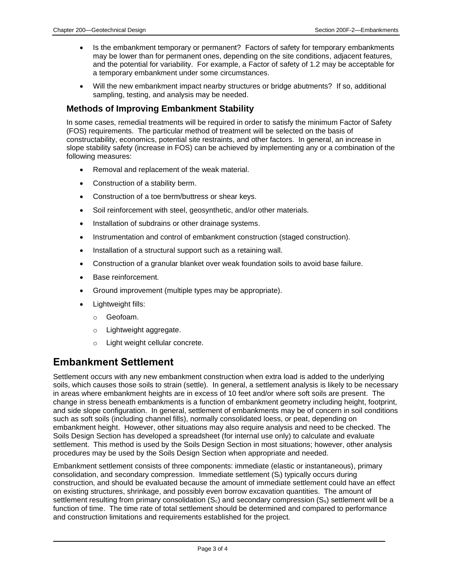- Is the embankment temporary or permanent? Factors of safety for temporary embankments may be lower than for permanent ones, depending on the site conditions, adjacent features, and the potential for variability. For example, a Factor of safety of 1.2 may be acceptable for a temporary embankment under some circumstances.
- Will the new embankment impact nearby structures or bridge abutments? If so, additional sampling, testing, and analysis may be needed.

#### **Methods of Improving Embankment Stability**

In some cases, remedial treatments will be required in order to satisfy the minimum Factor of Safety (FOS) requirements. The particular method of treatment will be selected on the basis of constructability, economics, potential site restraints, and other factors. In general, an increase in slope stability safety (increase in FOS) can be achieved by implementing any or a combination of the following measures:

- Removal and replacement of the weak material.
- Construction of a stability berm.
- Construction of a toe berm/buttress or shear keys.
- Soil reinforcement with steel, geosynthetic, and/or other materials.
- Installation of subdrains or other drainage systems.
- Instrumentation and control of embankment construction (staged construction).
- Installation of a structural support such as a retaining wall.
- Construction of a granular blanket over weak foundation soils to avoid base failure.
- Base reinforcement.
- Ground improvement (multiple types may be appropriate).
- Lightweight fills:
	- o Geofoam.
	- o Lightweight aggregate.
	- o Light weight cellular concrete.

### **Embankment Settlement**

Settlement occurs with any new embankment construction when extra load is added to the underlying soils, which causes those soils to strain (settle). In general, a settlement analysis is likely to be necessary in areas where embankment heights are in excess of 10 feet and/or where soft soils are present. The change in stress beneath embankments is a function of embankment geometry including height, footprint, and side slope configuration. In general, settlement of embankments may be of concern in soil conditions such as soft soils (including channel fills), normally consolidated loess, or peat, depending on embankment height. However, other situations may also require analysis and need to be checked. The Soils Design Section has developed a spreadsheet (for internal use only) to calculate and evaluate settlement. This method is used by the Soils Design Section in most situations; however, other analysis procedures may be used by the Soils Design Section when appropriate and needed.

Embankment settlement consists of three components: immediate (elastic or instantaneous), primary consolidation, and secondary compression. Immediate settlement (Si) typically occurs during construction, and should be evaluated because the amount of immediate settlement could have an effect on existing structures, shrinkage, and possibly even borrow excavation quantities. The amount of settlement resulting from primary consolidation  $(S_c)$  and secondary compression  $(S_s)$  settlement will be a function of time. The time rate of total settlement should be determined and compared to performance and construction limitations and requirements established for the project.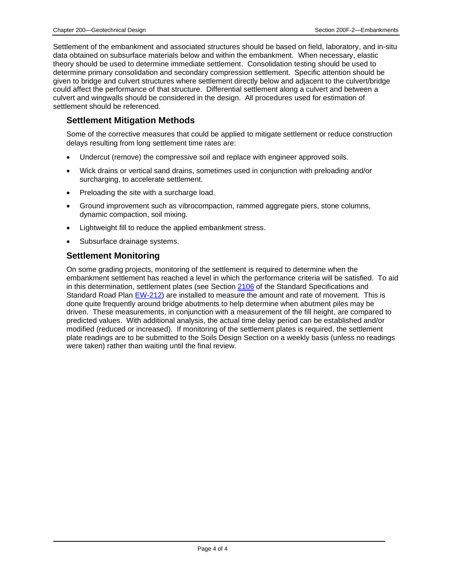Settlement of the embankment and associated structures should be based on field, laboratory, and in-situ data obtained on subsurface materials below and within the embankment. When necessary, elastic theory should be used to determine immediate settlement. Consolidation testing should be used to determine primary consolidation and secondary compression settlement. Specific attention should be given to bridge and culvert structures where settlement directly below and adjacent to the culvert/bridge could affect the performance of that structure. Differential settlement along a culvert and between a culvert and wingwalls should be considered in the design. All procedures used for estimation of settlement should be referenced.

#### **Settlement Mitigation Methods**

Some of the corrective measures that could be applied to mitigate settlement or reduce construction delays resulting from long settlement time rates are:

- Undercut (remove) the compressive soil and replace with engineer approved soils.
- Wick drains or vertical sand drains, sometimes used in conjunction with preloading and/or surcharging, to accelerate settlement.
- Preloading the site with a surcharge load.
- Ground improvement such as vibrocompaction, rammed aggregate piers, stone columns, dynamic compaction, soil mixing.
- Lightweight fill to reduce the applied embankment stress.
- Subsurface drainage systems.

#### **Settlement Monitoring**

On some grading projects, monitoring of the settlement is required to determine when the embankment settlement has reached a level in which the performance criteria will be satisfied. To aid in this determination, settlement plates (see Section [2106](../../erl/current/GS/content/2106.htm) of the Standard Specifications and Standard Road Plan [EW-212\)](../SRP/IndividualStandards/ew212.pdf) are installed to measure the amount and rate of movement. This is done quite frequently around bridge abutments to help determine when abutment piles may be driven. These measurements, in conjunction with a measurement of the fill height, are compared to predicted values. With additional analysis, the actual time delay period can be established and/or modified (reduced or increased). If monitoring of the settlement plates is required, the settlement plate readings are to be submitted to the Soils Design Section on a weekly basis (unless no readings were taken) rather than waiting until the final review.